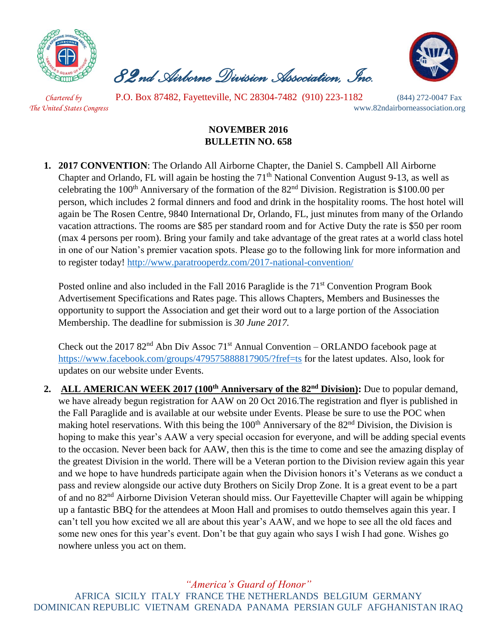

 *82nd Airborne Division Association, Inc.* 



 *Chartered by* P.O. Box 87482, Fayetteville, NC 28304-7482 (910) 223-1182 (844) 272-0047 Fax *The United States Congress* www.82ndairborneassociation.org

## **NOVEMBER 2016 BULLETIN NO. 658**

**1. 2017 CONVENTION**: The Orlando All Airborne Chapter, the Daniel S. Campbell All Airborne Chapter and Orlando, FL will again be hosting the  $71<sup>th</sup>$  National Convention August 9-13, as well as celebrating the 100<sup>th</sup> Anniversary of the formation of the  $82<sup>nd</sup>$  Division. Registration is \$100.00 per person, which includes 2 formal dinners and food and drink in the hospitality rooms. The host hotel will again be The Rosen Centre, 9840 International Dr, Orlando, FL, just minutes from many of the Orlando vacation attractions. The rooms are \$85 per standard room and for Active Duty the rate is \$50 per room (max 4 persons per room). Bring your family and take advantage of the great rates at a world class hotel in one of our Nation's premier vacation spots. Please go to the following link for more information and to register today!<http://www.paratrooperdz.com/2017-national-convention/>

Posted online and also included in the Fall 2016 Paraglide is the  $71<sup>st</sup>$  Convention Program Book Advertisement Specifications and Rates page. This allows Chapters, Members and Businesses the opportunity to support the Association and get their word out to a large portion of the Association Membership. The deadline for submission is *30 June 2017.*

Check out the 2017  $82<sup>nd</sup>$  Abn Div Assoc 71<sup>st</sup> Annual Convention – ORLANDO facebook page at <https://www.facebook.com/groups/479575888817905/?fref=ts> for the latest updates. Also, look for updates on our website under Events.

**2. ALL AMERICAN WEEK 2017 (100th Anniversary of the 82nd Division):** Due to popular demand, we have already begun registration for AAW on 20 Oct 2016.The registration and flyer is published in the Fall Paraglide and is available at our website under Events. Please be sure to use the POC when making hotel reservations. With this being the 100<sup>th</sup> Anniversary of the 82<sup>nd</sup> Division, the Division is hoping to make this year's AAW a very special occasion for everyone, and will be adding special events to the occasion. Never been back for AAW, then this is the time to come and see the amazing display of the greatest Division in the world. There will be a Veteran portion to the Division review again this year and we hope to have hundreds participate again when the Division honors it's Veterans as we conduct a pass and review alongside our active duty Brothers on Sicily Drop Zone. It is a great event to be a part of and no 82nd Airborne Division Veteran should miss. Our Fayetteville Chapter will again be whipping up a fantastic BBQ for the attendees at Moon Hall and promises to outdo themselves again this year. I can't tell you how excited we all are about this year's AAW, and we hope to see all the old faces and some new ones for this year's event. Don't be that guy again who says I wish I had gone. Wishes go nowhere unless you act on them.

*"America's Guard of Honor"*

AFRICA SICILY ITALY FRANCE THE NETHERLANDS BELGIUM GERMANY DOMINICAN REPUBLIC VIETNAM GRENADA PANAMA PERSIAN GULF AFGHANISTAN IRAQ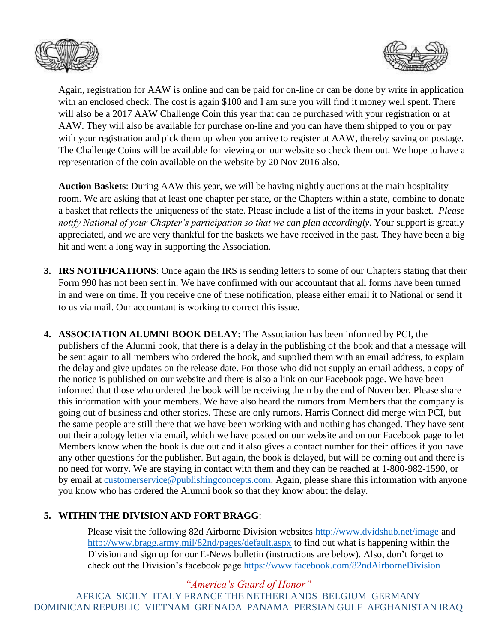



Again, registration for AAW is online and can be paid for on-line or can be done by write in application with an enclosed check. The cost is again \$100 and I am sure you will find it money well spent. There will also be a 2017 AAW Challenge Coin this year that can be purchased with your registration or at AAW. They will also be available for purchase on-line and you can have them shipped to you or pay with your registration and pick them up when you arrive to register at AAW, thereby saving on postage. The Challenge Coins will be available for viewing on our website so check them out. We hope to have a representation of the coin available on the website by 20 Nov 2016 also.

**Auction Baskets**: During AAW this year, we will be having nightly auctions at the main hospitality room. We are asking that at least one chapter per state, or the Chapters within a state, combine to donate a basket that reflects the uniqueness of the state. Please include a list of the items in your basket. *Please notify National of your Chapter's participation so that we can plan accordingly*. Your support is greatly appreciated, and we are very thankful for the baskets we have received in the past. They have been a big hit and went a long way in supporting the Association.

- **3. IRS NOTIFICATIONS**: Once again the IRS is sending letters to some of our Chapters stating that their Form 990 has not been sent in. We have confirmed with our accountant that all forms have been turned in and were on time. If you receive one of these notification, please either email it to National or send it to us via mail. Our accountant is working to correct this issue.
- **4. ASSOCIATION ALUMNI BOOK DELAY:** The Association has been informed by PCI, the publishers of the Alumni book, that there is a delay in the publishing of the book and that a message will be sent again to all members who ordered the book, and supplied them with an email address, to explain the delay and give updates on the release date. For those who did not supply an email address, a copy of the notice is published on our website and there is also a link on our Facebook page. We have been informed that those who ordered the book will be receiving them by the end of November. Please share this information with your members. We have also heard the rumors from Members that the company is going out of business and other stories. These are only rumors. Harris Connect did merge with PCI, but the same people are still there that we have been working with and nothing has changed. They have sent out their apology letter via email, which we have posted on our website and on our Facebook page to let Members know when the book is due out and it also gives a contact number for their offices if you have any other questions for the publisher. But again, the book is delayed, but will be coming out and there is no need for worry. We are staying in contact with them and they can be reached at 1-800-982-1590, or by email at [customerservice@publishingconcepts.com.](mailto:customerservice@publishingconcepts.com) Again, please share this information with anyone you know who has ordered the Alumni book so that they know about the delay.

## **5. WITHIN THE DIVISION AND FORT BRAGG**:

Please visit the following 82d Airborne Division websites<http://www.dvidshub.net/image> and [http://www.bragg.army.mil/82nd/pages/default.aspx](http://www.bragg.army.mil/82ND/Pages/default.aspx) to find out what is happening within the Division and sign up for our E-News bulletin (instructions are below). Also, don't forget to check out the Division's facebook page<https://www.facebook.com/82ndAirborneDivision>

*"America's Guard of Honor"* AFRICA SICILY ITALY FRANCE THE NETHERLANDS BELGIUM GERMANY DOMINICAN REPUBLIC VIETNAM GRENADA PANAMA PERSIAN GULF AFGHANISTAN IRAQ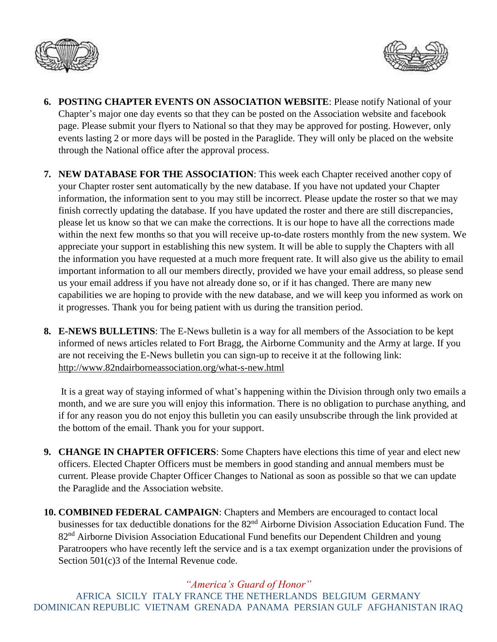



- **6. POSTING CHAPTER EVENTS ON ASSOCIATION WEBSITE**: Please notify National of your Chapter's major one day events so that they can be posted on the Association website and facebook page. Please submit your flyers to National so that they may be approved for posting. However, only events lasting 2 or more days will be posted in the Paraglide. They will only be placed on the website through the National office after the approval process.
- **7. NEW DATABASE FOR THE ASSOCIATION**: This week each Chapter received another copy of your Chapter roster sent automatically by the new database. If you have not updated your Chapter information, the information sent to you may still be incorrect. Please update the roster so that we may finish correctly updating the database. If you have updated the roster and there are still discrepancies, please let us know so that we can make the corrections. It is our hope to have all the corrections made within the next few months so that you will receive up-to-date rosters monthly from the new system. We appreciate your support in establishing this new system. It will be able to supply the Chapters with all the information you have requested at a much more frequent rate. It will also give us the ability to email important information to all our members directly, provided we have your email address, so please send us your email address if you have not already done so, or if it has changed. There are many new capabilities we are hoping to provide with the new database, and we will keep you informed as work on it progresses. Thank you for being patient with us during the transition period.
- **8. E-NEWS BULLETINS**: The E-News bulletin is a way for all members of the Association to be kept informed of news articles related to Fort Bragg, the Airborne Community and the Army at large. If you are not receiving the E-News bulletin you can sign-up to receive it at the following link: <http://www.82ndairborneassociation.org/what-s-new.html>

It is a great way of staying informed of what's happening within the Division through only two emails a month, and we are sure you will enjoy this information. There is no obligation to purchase anything, and if for any reason you do not enjoy this bulletin you can easily unsubscribe through the link provided at the bottom of the email. Thank you for your support.

- **9. CHANGE IN CHAPTER OFFICERS**: Some Chapters have elections this time of year and elect new officers. Elected Chapter Officers must be members in good standing and annual members must be current. Please provide Chapter Officer Changes to National as soon as possible so that we can update the Paraglide and the Association website.
- **10. COMBINED FEDERAL CAMPAIGN**: Chapters and Members are encouraged to contact local businesses for tax deductible donations for the 82<sup>nd</sup> Airborne Division Association Education Fund. The 82<sup>nd</sup> Airborne Division Association Educational Fund benefits our Dependent Children and young Paratroopers who have recently left the service and is a tax exempt organization under the provisions of Section 501(c)3 of the Internal Revenue code.

## *"America's Guard of Honor"*

AFRICA SICILY ITALY FRANCE THE NETHERLANDS BELGIUM GERMANY DOMINICAN REPUBLIC VIETNAM GRENADA PANAMA PERSIAN GULF AFGHANISTAN IRAQ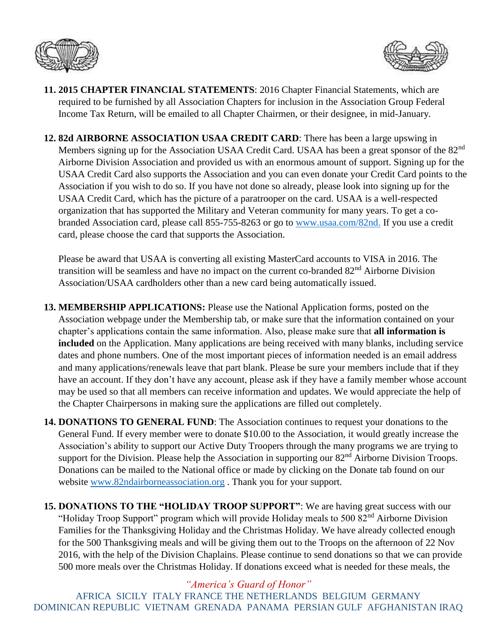



- **11. 2015 CHAPTER FINANCIAL STATEMENTS**: 2016 Chapter Financial Statements, which are required to be furnished by all Association Chapters for inclusion in the Association Group Federal Income Tax Return, will be emailed to all Chapter Chairmen, or their designee, in mid-January.
- **12. 82d AIRBORNE ASSOCIATION USAA CREDIT CARD**: There has been a large upswing in Members signing up for the Association USAA Credit Card. USAA has been a great sponsor of the 82<sup>nd</sup> Airborne Division Association and provided us with an enormous amount of support. Signing up for the USAA Credit Card also supports the Association and you can even donate your Credit Card points to the Association if you wish to do so. If you have not done so already, please look into signing up for the USAA Credit Card, which has the picture of a paratrooper on the card. USAA is a well-respected organization that has supported the Military and Veteran community for many years. To get a cobranded Association card, please call 855-755-8263 or go to [www.usaa.com/82nd.](http://www.usaa.com/82nd) If you use a credit card, please choose the card that supports the Association.

Please be award that USAA is converting all existing MasterCard accounts to VISA in 2016. The transition will be seamless and have no impact on the current co-branded 82<sup>nd</sup> Airborne Division Association/USAA cardholders other than a new card being automatically issued.

- **13. MEMBERSHIP APPLICATIONS:** Please use the National Application forms, posted on the Association webpage under the Membership tab, or make sure that the information contained on your chapter's applications contain the same information. Also, please make sure that **all information is included** on the Application. Many applications are being received with many blanks, including service dates and phone numbers. One of the most important pieces of information needed is an email address and many applications/renewals leave that part blank. Please be sure your members include that if they have an account. If they don't have any account, please ask if they have a family member whose account may be used so that all members can receive information and updates. We would appreciate the help of the Chapter Chairpersons in making sure the applications are filled out completely.
- **14. DONATIONS TO GENERAL FUND**: The Association continues to request your donations to the General Fund. If every member were to donate \$10.00 to the Association, it would greatly increase the Association's ability to support our Active Duty Troopers through the many programs we are trying to support for the Division. Please help the Association in supporting our 82<sup>nd</sup> Airborne Division Troops. Donations can be mailed to the National office or made by clicking on the Donate tab found on our website [www.82ndairborneassociation.org](http://www.82ndairborneassociation.org/) . Thank you for your support.
- **15. DONATIONS TO THE "HOLIDAY TROOP SUPPORT"**: We are having great success with our "Holiday Troop Support" program which will provide Holiday meals to 500 82<sup>nd</sup> Airborne Division Families for the Thanksgiving Holiday and the Christmas Holiday. We have already collected enough for the 500 Thanksgiving meals and will be giving them out to the Troops on the afternoon of 22 Nov 2016, with the help of the Division Chaplains. Please continue to send donations so that we can provide 500 more meals over the Christmas Holiday. If donations exceed what is needed for these meals, the

*"America's Guard of Honor"* AFRICA SICILY ITALY FRANCE THE NETHERLANDS BELGIUM GERMANY DOMINICAN REPUBLIC VIETNAM GRENADA PANAMA PERSIAN GULF AFGHANISTAN IRAQ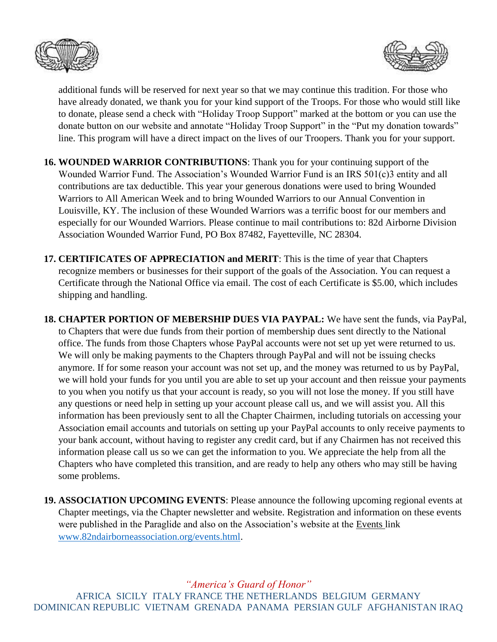



additional funds will be reserved for next year so that we may continue this tradition. For those who have already donated, we thank you for your kind support of the Troops. For those who would still like to donate, please send a check with "Holiday Troop Support" marked at the bottom or you can use the donate button on our website and annotate "Holiday Troop Support" in the "Put my donation towards" line. This program will have a direct impact on the lives of our Troopers. Thank you for your support.

- **16. WOUNDED WARRIOR CONTRIBUTIONS**: Thank you for your continuing support of the Wounded Warrior Fund. The Association's Wounded Warrior Fund is an IRS 501(c)3 entity and all contributions are tax deductible. This year your generous donations were used to bring Wounded Warriors to All American Week and to bring Wounded Warriors to our Annual Convention in Louisville, KY. The inclusion of these Wounded Warriors was a terrific boost for our members and especially for our Wounded Warriors. Please continue to mail contributions to: 82d Airborne Division Association Wounded Warrior Fund, PO Box 87482, Fayetteville, NC 28304.
- **17. CERTIFICATES OF APPRECIATION and MERIT**: This is the time of year that Chapters recognize members or businesses for their support of the goals of the Association. You can request a Certificate through the National Office via email. The cost of each Certificate is \$5.00, which includes shipping and handling.
- **18. CHAPTER PORTION OF MEBERSHIP DUES VIA PAYPAL:** We have sent the funds, via PayPal, to Chapters that were due funds from their portion of membership dues sent directly to the National office. The funds from those Chapters whose PayPal accounts were not set up yet were returned to us. We will only be making payments to the Chapters through PayPal and will not be issuing checks anymore. If for some reason your account was not set up, and the money was returned to us by PayPal, we will hold your funds for you until you are able to set up your account and then reissue your payments to you when you notify us that your account is ready, so you will not lose the money. If you still have any questions or need help in setting up your account please call us, and we will assist you. All this information has been previously sent to all the Chapter Chairmen, including tutorials on accessing your Association email accounts and tutorials on setting up your PayPal accounts to only receive payments to your bank account, without having to register any credit card, but if any Chairmen has not received this information please call us so we can get the information to you. We appreciate the help from all the Chapters who have completed this transition, and are ready to help any others who may still be having some problems.
- **19. ASSOCIATION UPCOMING EVENTS**: Please announce the following upcoming regional events at Chapter meetings, via the Chapter newsletter and website. Registration and information on these events were published in the Paraglide and also on the Association's website at the Events link [www.82ndairborneassociation.org/events.html.](http://www.82ndairborneassociation.org/events.html)

*"America's Guard of Honor"* AFRICA SICILY ITALY FRANCE THE NETHERLANDS BELGIUM GERMANY DOMINICAN REPUBLIC VIETNAM GRENADA PANAMA PERSIAN GULF AFGHANISTAN IRAQ